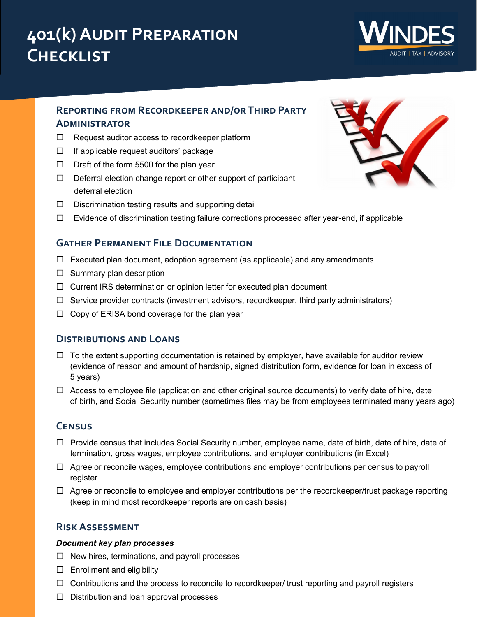# **401(k) Audit Preparation Checklist**



# **Reporting from Recordkeeper and/or Third Party Administrator**

- $\Box$  Request auditor access to recordkeeper platform
- $\Box$  If applicable request auditors' package
- $\Box$  Draft of the form 5500 for the plan year
- $\Box$  Deferral election change report or other support of participant deferral election
- $\square$  Discrimination testing results and supporting detail
- $\Box$  Evidence of discrimination testing failure corrections processed after year-end, if applicable

## **Gather Permanent File Documentation**

- $\Box$  Executed plan document, adoption agreement (as applicable) and any amendments
- $\square$  Summary plan description
- $\Box$  Current IRS determination or opinion letter for executed plan document
- $\Box$  Service provider contracts (investment advisors, recordkeeper, third party administrators)
- $\Box$  Copy of ERISA bond coverage for the plan year

## **Distributions and Loans**

- $\Box$  To the extent supporting documentation is retained by employer, have available for auditor review (evidence of reason and amount of hardship, signed distribution form, evidence for loan in excess of 5 years)
- $\Box$  Access to employee file (application and other original source documents) to verify date of hire, date of birth, and Social Security number (sometimes files may be from employees terminated many years ago)

## **Census**

- $\Box$  Provide census that includes Social Security number, employee name, date of birth, date of hire, date of termination, gross wages, employee contributions, and employer contributions (in Excel)
- $\Box$  Agree or reconcile wages, employee contributions and employer contributions per census to payroll register
- $\Box$  Agree or reconcile to employee and employer contributions per the recordkeeper/trust package reporting (keep in mind most recordkeeper reports are on cash basis)

## **Risk Assessment**

#### *Document key plan processes*

- $\Box$  New hires, terminations, and payroll processes
- $\square$  Enrollment and eligibility
- $\Box$  Contributions and the process to reconcile to recordkeeper/ trust reporting and payroll registers
- $\Box$  Distribution and loan approval processes